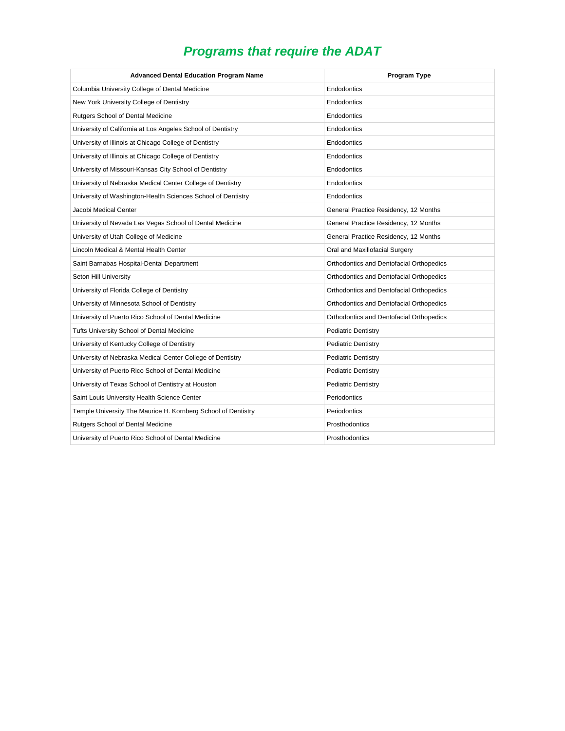# *Programs that require the ADAT*

| <b>Advanced Dental Education Program Name</b>                 | Program Type                             |
|---------------------------------------------------------------|------------------------------------------|
| Columbia University College of Dental Medicine                | Endodontics                              |
| New York University College of Dentistry                      | Endodontics                              |
| <b>Rutgers School of Dental Medicine</b>                      | Endodontics                              |
| University of California at Los Angeles School of Dentistry   | Endodontics                              |
| University of Illinois at Chicago College of Dentistry        | Endodontics                              |
| University of Illinois at Chicago College of Dentistry        | Endodontics                              |
| University of Missouri-Kansas City School of Dentistry        | Endodontics                              |
| University of Nebraska Medical Center College of Dentistry    | Endodontics                              |
| University of Washington-Health Sciences School of Dentistry  | Endodontics                              |
| Jacobi Medical Center                                         | General Practice Residency, 12 Months    |
| University of Nevada Las Vegas School of Dental Medicine      | General Practice Residency, 12 Months    |
| University of Utah College of Medicine                        | General Practice Residency, 12 Months    |
| Lincoln Medical & Mental Health Center                        | Oral and Maxillofacial Surgery           |
| Saint Barnabas Hospital-Dental Department                     | Orthodontics and Dentofacial Orthopedics |
| Seton Hill University                                         | Orthodontics and Dentofacial Orthopedics |
| University of Florida College of Dentistry                    | Orthodontics and Dentofacial Orthopedics |
| University of Minnesota School of Dentistry                   | Orthodontics and Dentofacial Orthopedics |
| University of Puerto Rico School of Dental Medicine           | Orthodontics and Dentofacial Orthopedics |
| Tufts University School of Dental Medicine                    | <b>Pediatric Dentistry</b>               |
| University of Kentucky College of Dentistry                   | <b>Pediatric Dentistry</b>               |
| University of Nebraska Medical Center College of Dentistry    | <b>Pediatric Dentistry</b>               |
| University of Puerto Rico School of Dental Medicine           | <b>Pediatric Dentistry</b>               |
| University of Texas School of Dentistry at Houston            | <b>Pediatric Dentistry</b>               |
| Saint Louis University Health Science Center                  | Periodontics                             |
| Temple University The Maurice H. Kornberg School of Dentistry | Periodontics                             |
| Rutgers School of Dental Medicine                             | Prosthodontics                           |
| University of Puerto Rico School of Dental Medicine           | Prosthodontics                           |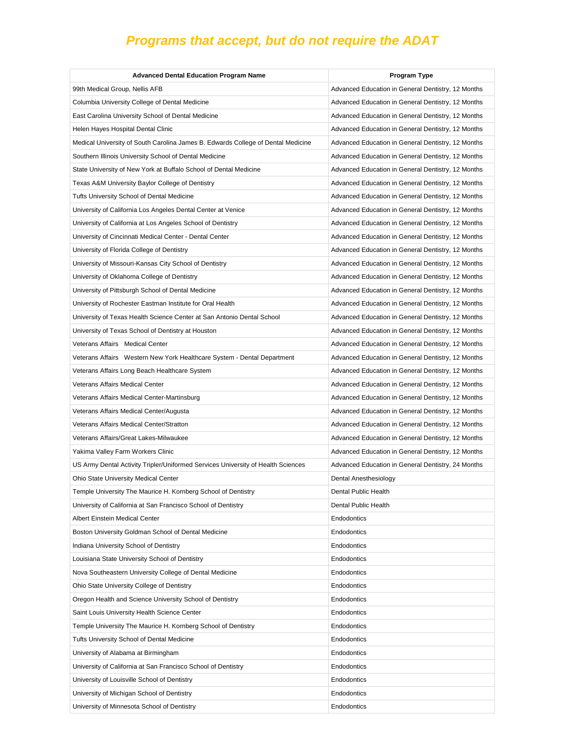| 99th Medical Group, Nellis AFB<br>Advanced Education in General Dentistry, 12 Months<br>Columbia University College of Dental Medicine<br>Advanced Education in General Dentistry, 12 Months<br>East Carolina University School of Dental Medicine<br>Advanced Education in General Dentistry, 12 Months<br>Helen Hayes Hospital Dental Clinic<br>Advanced Education in General Dentistry, 12 Months<br>Medical University of South Carolina James B. Edwards College of Dental Medicine<br>Advanced Education in General Dentistry, 12 Months<br>Southern Illinois University School of Dental Medicine<br>Advanced Education in General Dentistry, 12 Months<br>State University of New York at Buffalo School of Dental Medicine<br>Advanced Education in General Dentistry, 12 Months<br>Texas A&M University Baylor College of Dentistry<br>Advanced Education in General Dentistry, 12 Months<br><b>Tufts University School of Dental Medicine</b><br>Advanced Education in General Dentistry, 12 Months<br>University of California Los Angeles Dental Center at Venice<br>Advanced Education in General Dentistry, 12 Months<br>University of California at Los Angeles School of Dentistry<br>Advanced Education in General Dentistry, 12 Months<br>University of Cincinnati Medical Center - Dental Center<br>Advanced Education in General Dentistry, 12 Months<br>University of Florida College of Dentistry<br>Advanced Education in General Dentistry, 12 Months<br>University of Missouri-Kansas City School of Dentistry<br>Advanced Education in General Dentistry, 12 Months<br>University of Oklahoma College of Dentistry<br>Advanced Education in General Dentistry, 12 Months<br>University of Pittsburgh School of Dental Medicine<br>Advanced Education in General Dentistry, 12 Months<br>University of Rochester Eastman Institute for Oral Health<br>Advanced Education in General Dentistry, 12 Months<br>University of Texas Health Science Center at San Antonio Dental School<br>Advanced Education in General Dentistry, 12 Months<br>University of Texas School of Dentistry at Houston<br>Advanced Education in General Dentistry, 12 Months<br>Veterans Affairs Medical Center<br>Advanced Education in General Dentistry, 12 Months<br>Veterans Affairs Western New York Healthcare System - Dental Department<br>Advanced Education in General Dentistry, 12 Months<br>Veterans Affairs Long Beach Healthcare System<br>Advanced Education in General Dentistry, 12 Months<br><b>Veterans Affairs Medical Center</b><br>Advanced Education in General Dentistry, 12 Months<br>Veterans Affairs Medical Center-Martinsburg<br>Advanced Education in General Dentistry, 12 Months<br>Veterans Affairs Medical Center/Augusta<br>Advanced Education in General Dentistry, 12 Months<br>Veterans Affairs Medical Center/Stratton<br>Advanced Education in General Dentistry, 12 Months<br>Veterans Affairs/Great Lakes-Milwaukee<br>Advanced Education in General Dentistry, 12 Months<br>Yakima Valley Farm Workers Clinic<br>Advanced Education in General Dentistry, 12 Months<br>US Army Dental Activity Tripler/Uniformed Services University of Health Sciences<br>Advanced Education in General Dentistry, 24 Months<br>Ohio State University Medical Center<br>Dental Anesthesiology<br>Temple University The Maurice H. Kornberg School of Dentistry<br>Dental Public Health<br>University of California at San Francisco School of Dentistry<br>Dental Public Health<br>Albert Einstein Medical Center<br>Endodontics<br>Boston University Goldman School of Dental Medicine<br>Endodontics<br>Indiana University School of Dentistry<br>Endodontics<br>Louisiana State University School of Dentistry<br>Endodontics<br>Nova Southeastern University College of Dental Medicine<br>Endodontics<br>Ohio State University College of Dentistry<br>Endodontics<br>Oregon Health and Science University School of Dentistry<br>Endodontics<br>Saint Louis University Health Science Center<br>Endodontics<br>Temple University The Maurice H. Kornberg School of Dentistry<br>Endodontics<br>Tufts University School of Dental Medicine<br>Endodontics<br>University of Alabama at Birmingham<br>Endodontics<br>University of California at San Francisco School of Dentistry<br>Endodontics<br>Endodontics<br>University of Louisville School of Dentistry<br>University of Michigan School of Dentistry<br>Endodontics | <b>Advanced Dental Education Program Name</b> | <b>Program Type</b> |
|------------------------------------------------------------------------------------------------------------------------------------------------------------------------------------------------------------------------------------------------------------------------------------------------------------------------------------------------------------------------------------------------------------------------------------------------------------------------------------------------------------------------------------------------------------------------------------------------------------------------------------------------------------------------------------------------------------------------------------------------------------------------------------------------------------------------------------------------------------------------------------------------------------------------------------------------------------------------------------------------------------------------------------------------------------------------------------------------------------------------------------------------------------------------------------------------------------------------------------------------------------------------------------------------------------------------------------------------------------------------------------------------------------------------------------------------------------------------------------------------------------------------------------------------------------------------------------------------------------------------------------------------------------------------------------------------------------------------------------------------------------------------------------------------------------------------------------------------------------------------------------------------------------------------------------------------------------------------------------------------------------------------------------------------------------------------------------------------------------------------------------------------------------------------------------------------------------------------------------------------------------------------------------------------------------------------------------------------------------------------------------------------------------------------------------------------------------------------------------------------------------------------------------------------------------------------------------------------------------------------------------------------------------------------------------------------------------------------------------------------------------------------------------------------------------------------------------------------------------------------------------------------------------------------------------------------------------------------------------------------------------------------------------------------------------------------------------------------------------------------------------------------------------------------------------------------------------------------------------------------------------------------------------------------------------------------------------------------------------------------------------------------------------------------------------------------------------------------------------------------------------------------------------------------------------------------------------------------------------------------------------------------------------------------------------------------------------------------------------------------------------------------------------------------------------------------------------------------------------------------------------------------------------------------------------------------------------------------------------------------------------------------------------------------------------------------------------------------------------------------------------------------------------------------------------------------------------------------------------------------------------------------------------------------------------------------------------------------------------------------------------------------------------------------------------------------------------------|-----------------------------------------------|---------------------|
|                                                                                                                                                                                                                                                                                                                                                                                                                                                                                                                                                                                                                                                                                                                                                                                                                                                                                                                                                                                                                                                                                                                                                                                                                                                                                                                                                                                                                                                                                                                                                                                                                                                                                                                                                                                                                                                                                                                                                                                                                                                                                                                                                                                                                                                                                                                                                                                                                                                                                                                                                                                                                                                                                                                                                                                                                                                                                                                                                                                                                                                                                                                                                                                                                                                                                                                                                                                                                                                                                                                                                                                                                                                                                                                                                                                                                                                                                                                                                                                                                                                                                                                                                                                                                                                                                                                                                                                                                                                                  |                                               |                     |
|                                                                                                                                                                                                                                                                                                                                                                                                                                                                                                                                                                                                                                                                                                                                                                                                                                                                                                                                                                                                                                                                                                                                                                                                                                                                                                                                                                                                                                                                                                                                                                                                                                                                                                                                                                                                                                                                                                                                                                                                                                                                                                                                                                                                                                                                                                                                                                                                                                                                                                                                                                                                                                                                                                                                                                                                                                                                                                                                                                                                                                                                                                                                                                                                                                                                                                                                                                                                                                                                                                                                                                                                                                                                                                                                                                                                                                                                                                                                                                                                                                                                                                                                                                                                                                                                                                                                                                                                                                                                  |                                               |                     |
|                                                                                                                                                                                                                                                                                                                                                                                                                                                                                                                                                                                                                                                                                                                                                                                                                                                                                                                                                                                                                                                                                                                                                                                                                                                                                                                                                                                                                                                                                                                                                                                                                                                                                                                                                                                                                                                                                                                                                                                                                                                                                                                                                                                                                                                                                                                                                                                                                                                                                                                                                                                                                                                                                                                                                                                                                                                                                                                                                                                                                                                                                                                                                                                                                                                                                                                                                                                                                                                                                                                                                                                                                                                                                                                                                                                                                                                                                                                                                                                                                                                                                                                                                                                                                                                                                                                                                                                                                                                                  |                                               |                     |
|                                                                                                                                                                                                                                                                                                                                                                                                                                                                                                                                                                                                                                                                                                                                                                                                                                                                                                                                                                                                                                                                                                                                                                                                                                                                                                                                                                                                                                                                                                                                                                                                                                                                                                                                                                                                                                                                                                                                                                                                                                                                                                                                                                                                                                                                                                                                                                                                                                                                                                                                                                                                                                                                                                                                                                                                                                                                                                                                                                                                                                                                                                                                                                                                                                                                                                                                                                                                                                                                                                                                                                                                                                                                                                                                                                                                                                                                                                                                                                                                                                                                                                                                                                                                                                                                                                                                                                                                                                                                  |                                               |                     |
|                                                                                                                                                                                                                                                                                                                                                                                                                                                                                                                                                                                                                                                                                                                                                                                                                                                                                                                                                                                                                                                                                                                                                                                                                                                                                                                                                                                                                                                                                                                                                                                                                                                                                                                                                                                                                                                                                                                                                                                                                                                                                                                                                                                                                                                                                                                                                                                                                                                                                                                                                                                                                                                                                                                                                                                                                                                                                                                                                                                                                                                                                                                                                                                                                                                                                                                                                                                                                                                                                                                                                                                                                                                                                                                                                                                                                                                                                                                                                                                                                                                                                                                                                                                                                                                                                                                                                                                                                                                                  |                                               |                     |
|                                                                                                                                                                                                                                                                                                                                                                                                                                                                                                                                                                                                                                                                                                                                                                                                                                                                                                                                                                                                                                                                                                                                                                                                                                                                                                                                                                                                                                                                                                                                                                                                                                                                                                                                                                                                                                                                                                                                                                                                                                                                                                                                                                                                                                                                                                                                                                                                                                                                                                                                                                                                                                                                                                                                                                                                                                                                                                                                                                                                                                                                                                                                                                                                                                                                                                                                                                                                                                                                                                                                                                                                                                                                                                                                                                                                                                                                                                                                                                                                                                                                                                                                                                                                                                                                                                                                                                                                                                                                  |                                               |                     |
|                                                                                                                                                                                                                                                                                                                                                                                                                                                                                                                                                                                                                                                                                                                                                                                                                                                                                                                                                                                                                                                                                                                                                                                                                                                                                                                                                                                                                                                                                                                                                                                                                                                                                                                                                                                                                                                                                                                                                                                                                                                                                                                                                                                                                                                                                                                                                                                                                                                                                                                                                                                                                                                                                                                                                                                                                                                                                                                                                                                                                                                                                                                                                                                                                                                                                                                                                                                                                                                                                                                                                                                                                                                                                                                                                                                                                                                                                                                                                                                                                                                                                                                                                                                                                                                                                                                                                                                                                                                                  |                                               |                     |
|                                                                                                                                                                                                                                                                                                                                                                                                                                                                                                                                                                                                                                                                                                                                                                                                                                                                                                                                                                                                                                                                                                                                                                                                                                                                                                                                                                                                                                                                                                                                                                                                                                                                                                                                                                                                                                                                                                                                                                                                                                                                                                                                                                                                                                                                                                                                                                                                                                                                                                                                                                                                                                                                                                                                                                                                                                                                                                                                                                                                                                                                                                                                                                                                                                                                                                                                                                                                                                                                                                                                                                                                                                                                                                                                                                                                                                                                                                                                                                                                                                                                                                                                                                                                                                                                                                                                                                                                                                                                  |                                               |                     |
|                                                                                                                                                                                                                                                                                                                                                                                                                                                                                                                                                                                                                                                                                                                                                                                                                                                                                                                                                                                                                                                                                                                                                                                                                                                                                                                                                                                                                                                                                                                                                                                                                                                                                                                                                                                                                                                                                                                                                                                                                                                                                                                                                                                                                                                                                                                                                                                                                                                                                                                                                                                                                                                                                                                                                                                                                                                                                                                                                                                                                                                                                                                                                                                                                                                                                                                                                                                                                                                                                                                                                                                                                                                                                                                                                                                                                                                                                                                                                                                                                                                                                                                                                                                                                                                                                                                                                                                                                                                                  |                                               |                     |
|                                                                                                                                                                                                                                                                                                                                                                                                                                                                                                                                                                                                                                                                                                                                                                                                                                                                                                                                                                                                                                                                                                                                                                                                                                                                                                                                                                                                                                                                                                                                                                                                                                                                                                                                                                                                                                                                                                                                                                                                                                                                                                                                                                                                                                                                                                                                                                                                                                                                                                                                                                                                                                                                                                                                                                                                                                                                                                                                                                                                                                                                                                                                                                                                                                                                                                                                                                                                                                                                                                                                                                                                                                                                                                                                                                                                                                                                                                                                                                                                                                                                                                                                                                                                                                                                                                                                                                                                                                                                  |                                               |                     |
|                                                                                                                                                                                                                                                                                                                                                                                                                                                                                                                                                                                                                                                                                                                                                                                                                                                                                                                                                                                                                                                                                                                                                                                                                                                                                                                                                                                                                                                                                                                                                                                                                                                                                                                                                                                                                                                                                                                                                                                                                                                                                                                                                                                                                                                                                                                                                                                                                                                                                                                                                                                                                                                                                                                                                                                                                                                                                                                                                                                                                                                                                                                                                                                                                                                                                                                                                                                                                                                                                                                                                                                                                                                                                                                                                                                                                                                                                                                                                                                                                                                                                                                                                                                                                                                                                                                                                                                                                                                                  |                                               |                     |
|                                                                                                                                                                                                                                                                                                                                                                                                                                                                                                                                                                                                                                                                                                                                                                                                                                                                                                                                                                                                                                                                                                                                                                                                                                                                                                                                                                                                                                                                                                                                                                                                                                                                                                                                                                                                                                                                                                                                                                                                                                                                                                                                                                                                                                                                                                                                                                                                                                                                                                                                                                                                                                                                                                                                                                                                                                                                                                                                                                                                                                                                                                                                                                                                                                                                                                                                                                                                                                                                                                                                                                                                                                                                                                                                                                                                                                                                                                                                                                                                                                                                                                                                                                                                                                                                                                                                                                                                                                                                  |                                               |                     |
|                                                                                                                                                                                                                                                                                                                                                                                                                                                                                                                                                                                                                                                                                                                                                                                                                                                                                                                                                                                                                                                                                                                                                                                                                                                                                                                                                                                                                                                                                                                                                                                                                                                                                                                                                                                                                                                                                                                                                                                                                                                                                                                                                                                                                                                                                                                                                                                                                                                                                                                                                                                                                                                                                                                                                                                                                                                                                                                                                                                                                                                                                                                                                                                                                                                                                                                                                                                                                                                                                                                                                                                                                                                                                                                                                                                                                                                                                                                                                                                                                                                                                                                                                                                                                                                                                                                                                                                                                                                                  |                                               |                     |
|                                                                                                                                                                                                                                                                                                                                                                                                                                                                                                                                                                                                                                                                                                                                                                                                                                                                                                                                                                                                                                                                                                                                                                                                                                                                                                                                                                                                                                                                                                                                                                                                                                                                                                                                                                                                                                                                                                                                                                                                                                                                                                                                                                                                                                                                                                                                                                                                                                                                                                                                                                                                                                                                                                                                                                                                                                                                                                                                                                                                                                                                                                                                                                                                                                                                                                                                                                                                                                                                                                                                                                                                                                                                                                                                                                                                                                                                                                                                                                                                                                                                                                                                                                                                                                                                                                                                                                                                                                                                  |                                               |                     |
|                                                                                                                                                                                                                                                                                                                                                                                                                                                                                                                                                                                                                                                                                                                                                                                                                                                                                                                                                                                                                                                                                                                                                                                                                                                                                                                                                                                                                                                                                                                                                                                                                                                                                                                                                                                                                                                                                                                                                                                                                                                                                                                                                                                                                                                                                                                                                                                                                                                                                                                                                                                                                                                                                                                                                                                                                                                                                                                                                                                                                                                                                                                                                                                                                                                                                                                                                                                                                                                                                                                                                                                                                                                                                                                                                                                                                                                                                                                                                                                                                                                                                                                                                                                                                                                                                                                                                                                                                                                                  |                                               |                     |
|                                                                                                                                                                                                                                                                                                                                                                                                                                                                                                                                                                                                                                                                                                                                                                                                                                                                                                                                                                                                                                                                                                                                                                                                                                                                                                                                                                                                                                                                                                                                                                                                                                                                                                                                                                                                                                                                                                                                                                                                                                                                                                                                                                                                                                                                                                                                                                                                                                                                                                                                                                                                                                                                                                                                                                                                                                                                                                                                                                                                                                                                                                                                                                                                                                                                                                                                                                                                                                                                                                                                                                                                                                                                                                                                                                                                                                                                                                                                                                                                                                                                                                                                                                                                                                                                                                                                                                                                                                                                  |                                               |                     |
|                                                                                                                                                                                                                                                                                                                                                                                                                                                                                                                                                                                                                                                                                                                                                                                                                                                                                                                                                                                                                                                                                                                                                                                                                                                                                                                                                                                                                                                                                                                                                                                                                                                                                                                                                                                                                                                                                                                                                                                                                                                                                                                                                                                                                                                                                                                                                                                                                                                                                                                                                                                                                                                                                                                                                                                                                                                                                                                                                                                                                                                                                                                                                                                                                                                                                                                                                                                                                                                                                                                                                                                                                                                                                                                                                                                                                                                                                                                                                                                                                                                                                                                                                                                                                                                                                                                                                                                                                                                                  |                                               |                     |
|                                                                                                                                                                                                                                                                                                                                                                                                                                                                                                                                                                                                                                                                                                                                                                                                                                                                                                                                                                                                                                                                                                                                                                                                                                                                                                                                                                                                                                                                                                                                                                                                                                                                                                                                                                                                                                                                                                                                                                                                                                                                                                                                                                                                                                                                                                                                                                                                                                                                                                                                                                                                                                                                                                                                                                                                                                                                                                                                                                                                                                                                                                                                                                                                                                                                                                                                                                                                                                                                                                                                                                                                                                                                                                                                                                                                                                                                                                                                                                                                                                                                                                                                                                                                                                                                                                                                                                                                                                                                  |                                               |                     |
|                                                                                                                                                                                                                                                                                                                                                                                                                                                                                                                                                                                                                                                                                                                                                                                                                                                                                                                                                                                                                                                                                                                                                                                                                                                                                                                                                                                                                                                                                                                                                                                                                                                                                                                                                                                                                                                                                                                                                                                                                                                                                                                                                                                                                                                                                                                                                                                                                                                                                                                                                                                                                                                                                                                                                                                                                                                                                                                                                                                                                                                                                                                                                                                                                                                                                                                                                                                                                                                                                                                                                                                                                                                                                                                                                                                                                                                                                                                                                                                                                                                                                                                                                                                                                                                                                                                                                                                                                                                                  |                                               |                     |
|                                                                                                                                                                                                                                                                                                                                                                                                                                                                                                                                                                                                                                                                                                                                                                                                                                                                                                                                                                                                                                                                                                                                                                                                                                                                                                                                                                                                                                                                                                                                                                                                                                                                                                                                                                                                                                                                                                                                                                                                                                                                                                                                                                                                                                                                                                                                                                                                                                                                                                                                                                                                                                                                                                                                                                                                                                                                                                                                                                                                                                                                                                                                                                                                                                                                                                                                                                                                                                                                                                                                                                                                                                                                                                                                                                                                                                                                                                                                                                                                                                                                                                                                                                                                                                                                                                                                                                                                                                                                  |                                               |                     |
|                                                                                                                                                                                                                                                                                                                                                                                                                                                                                                                                                                                                                                                                                                                                                                                                                                                                                                                                                                                                                                                                                                                                                                                                                                                                                                                                                                                                                                                                                                                                                                                                                                                                                                                                                                                                                                                                                                                                                                                                                                                                                                                                                                                                                                                                                                                                                                                                                                                                                                                                                                                                                                                                                                                                                                                                                                                                                                                                                                                                                                                                                                                                                                                                                                                                                                                                                                                                                                                                                                                                                                                                                                                                                                                                                                                                                                                                                                                                                                                                                                                                                                                                                                                                                                                                                                                                                                                                                                                                  |                                               |                     |
|                                                                                                                                                                                                                                                                                                                                                                                                                                                                                                                                                                                                                                                                                                                                                                                                                                                                                                                                                                                                                                                                                                                                                                                                                                                                                                                                                                                                                                                                                                                                                                                                                                                                                                                                                                                                                                                                                                                                                                                                                                                                                                                                                                                                                                                                                                                                                                                                                                                                                                                                                                                                                                                                                                                                                                                                                                                                                                                                                                                                                                                                                                                                                                                                                                                                                                                                                                                                                                                                                                                                                                                                                                                                                                                                                                                                                                                                                                                                                                                                                                                                                                                                                                                                                                                                                                                                                                                                                                                                  |                                               |                     |
|                                                                                                                                                                                                                                                                                                                                                                                                                                                                                                                                                                                                                                                                                                                                                                                                                                                                                                                                                                                                                                                                                                                                                                                                                                                                                                                                                                                                                                                                                                                                                                                                                                                                                                                                                                                                                                                                                                                                                                                                                                                                                                                                                                                                                                                                                                                                                                                                                                                                                                                                                                                                                                                                                                                                                                                                                                                                                                                                                                                                                                                                                                                                                                                                                                                                                                                                                                                                                                                                                                                                                                                                                                                                                                                                                                                                                                                                                                                                                                                                                                                                                                                                                                                                                                                                                                                                                                                                                                                                  |                                               |                     |
|                                                                                                                                                                                                                                                                                                                                                                                                                                                                                                                                                                                                                                                                                                                                                                                                                                                                                                                                                                                                                                                                                                                                                                                                                                                                                                                                                                                                                                                                                                                                                                                                                                                                                                                                                                                                                                                                                                                                                                                                                                                                                                                                                                                                                                                                                                                                                                                                                                                                                                                                                                                                                                                                                                                                                                                                                                                                                                                                                                                                                                                                                                                                                                                                                                                                                                                                                                                                                                                                                                                                                                                                                                                                                                                                                                                                                                                                                                                                                                                                                                                                                                                                                                                                                                                                                                                                                                                                                                                                  |                                               |                     |
|                                                                                                                                                                                                                                                                                                                                                                                                                                                                                                                                                                                                                                                                                                                                                                                                                                                                                                                                                                                                                                                                                                                                                                                                                                                                                                                                                                                                                                                                                                                                                                                                                                                                                                                                                                                                                                                                                                                                                                                                                                                                                                                                                                                                                                                                                                                                                                                                                                                                                                                                                                                                                                                                                                                                                                                                                                                                                                                                                                                                                                                                                                                                                                                                                                                                                                                                                                                                                                                                                                                                                                                                                                                                                                                                                                                                                                                                                                                                                                                                                                                                                                                                                                                                                                                                                                                                                                                                                                                                  |                                               |                     |
|                                                                                                                                                                                                                                                                                                                                                                                                                                                                                                                                                                                                                                                                                                                                                                                                                                                                                                                                                                                                                                                                                                                                                                                                                                                                                                                                                                                                                                                                                                                                                                                                                                                                                                                                                                                                                                                                                                                                                                                                                                                                                                                                                                                                                                                                                                                                                                                                                                                                                                                                                                                                                                                                                                                                                                                                                                                                                                                                                                                                                                                                                                                                                                                                                                                                                                                                                                                                                                                                                                                                                                                                                                                                                                                                                                                                                                                                                                                                                                                                                                                                                                                                                                                                                                                                                                                                                                                                                                                                  |                                               |                     |
|                                                                                                                                                                                                                                                                                                                                                                                                                                                                                                                                                                                                                                                                                                                                                                                                                                                                                                                                                                                                                                                                                                                                                                                                                                                                                                                                                                                                                                                                                                                                                                                                                                                                                                                                                                                                                                                                                                                                                                                                                                                                                                                                                                                                                                                                                                                                                                                                                                                                                                                                                                                                                                                                                                                                                                                                                                                                                                                                                                                                                                                                                                                                                                                                                                                                                                                                                                                                                                                                                                                                                                                                                                                                                                                                                                                                                                                                                                                                                                                                                                                                                                                                                                                                                                                                                                                                                                                                                                                                  |                                               |                     |
|                                                                                                                                                                                                                                                                                                                                                                                                                                                                                                                                                                                                                                                                                                                                                                                                                                                                                                                                                                                                                                                                                                                                                                                                                                                                                                                                                                                                                                                                                                                                                                                                                                                                                                                                                                                                                                                                                                                                                                                                                                                                                                                                                                                                                                                                                                                                                                                                                                                                                                                                                                                                                                                                                                                                                                                                                                                                                                                                                                                                                                                                                                                                                                                                                                                                                                                                                                                                                                                                                                                                                                                                                                                                                                                                                                                                                                                                                                                                                                                                                                                                                                                                                                                                                                                                                                                                                                                                                                                                  |                                               |                     |
|                                                                                                                                                                                                                                                                                                                                                                                                                                                                                                                                                                                                                                                                                                                                                                                                                                                                                                                                                                                                                                                                                                                                                                                                                                                                                                                                                                                                                                                                                                                                                                                                                                                                                                                                                                                                                                                                                                                                                                                                                                                                                                                                                                                                                                                                                                                                                                                                                                                                                                                                                                                                                                                                                                                                                                                                                                                                                                                                                                                                                                                                                                                                                                                                                                                                                                                                                                                                                                                                                                                                                                                                                                                                                                                                                                                                                                                                                                                                                                                                                                                                                                                                                                                                                                                                                                                                                                                                                                                                  |                                               |                     |
|                                                                                                                                                                                                                                                                                                                                                                                                                                                                                                                                                                                                                                                                                                                                                                                                                                                                                                                                                                                                                                                                                                                                                                                                                                                                                                                                                                                                                                                                                                                                                                                                                                                                                                                                                                                                                                                                                                                                                                                                                                                                                                                                                                                                                                                                                                                                                                                                                                                                                                                                                                                                                                                                                                                                                                                                                                                                                                                                                                                                                                                                                                                                                                                                                                                                                                                                                                                                                                                                                                                                                                                                                                                                                                                                                                                                                                                                                                                                                                                                                                                                                                                                                                                                                                                                                                                                                                                                                                                                  |                                               |                     |
|                                                                                                                                                                                                                                                                                                                                                                                                                                                                                                                                                                                                                                                                                                                                                                                                                                                                                                                                                                                                                                                                                                                                                                                                                                                                                                                                                                                                                                                                                                                                                                                                                                                                                                                                                                                                                                                                                                                                                                                                                                                                                                                                                                                                                                                                                                                                                                                                                                                                                                                                                                                                                                                                                                                                                                                                                                                                                                                                                                                                                                                                                                                                                                                                                                                                                                                                                                                                                                                                                                                                                                                                                                                                                                                                                                                                                                                                                                                                                                                                                                                                                                                                                                                                                                                                                                                                                                                                                                                                  |                                               |                     |
|                                                                                                                                                                                                                                                                                                                                                                                                                                                                                                                                                                                                                                                                                                                                                                                                                                                                                                                                                                                                                                                                                                                                                                                                                                                                                                                                                                                                                                                                                                                                                                                                                                                                                                                                                                                                                                                                                                                                                                                                                                                                                                                                                                                                                                                                                                                                                                                                                                                                                                                                                                                                                                                                                                                                                                                                                                                                                                                                                                                                                                                                                                                                                                                                                                                                                                                                                                                                                                                                                                                                                                                                                                                                                                                                                                                                                                                                                                                                                                                                                                                                                                                                                                                                                                                                                                                                                                                                                                                                  |                                               |                     |
|                                                                                                                                                                                                                                                                                                                                                                                                                                                                                                                                                                                                                                                                                                                                                                                                                                                                                                                                                                                                                                                                                                                                                                                                                                                                                                                                                                                                                                                                                                                                                                                                                                                                                                                                                                                                                                                                                                                                                                                                                                                                                                                                                                                                                                                                                                                                                                                                                                                                                                                                                                                                                                                                                                                                                                                                                                                                                                                                                                                                                                                                                                                                                                                                                                                                                                                                                                                                                                                                                                                                                                                                                                                                                                                                                                                                                                                                                                                                                                                                                                                                                                                                                                                                                                                                                                                                                                                                                                                                  |                                               |                     |
|                                                                                                                                                                                                                                                                                                                                                                                                                                                                                                                                                                                                                                                                                                                                                                                                                                                                                                                                                                                                                                                                                                                                                                                                                                                                                                                                                                                                                                                                                                                                                                                                                                                                                                                                                                                                                                                                                                                                                                                                                                                                                                                                                                                                                                                                                                                                                                                                                                                                                                                                                                                                                                                                                                                                                                                                                                                                                                                                                                                                                                                                                                                                                                                                                                                                                                                                                                                                                                                                                                                                                                                                                                                                                                                                                                                                                                                                                                                                                                                                                                                                                                                                                                                                                                                                                                                                                                                                                                                                  |                                               |                     |
|                                                                                                                                                                                                                                                                                                                                                                                                                                                                                                                                                                                                                                                                                                                                                                                                                                                                                                                                                                                                                                                                                                                                                                                                                                                                                                                                                                                                                                                                                                                                                                                                                                                                                                                                                                                                                                                                                                                                                                                                                                                                                                                                                                                                                                                                                                                                                                                                                                                                                                                                                                                                                                                                                                                                                                                                                                                                                                                                                                                                                                                                                                                                                                                                                                                                                                                                                                                                                                                                                                                                                                                                                                                                                                                                                                                                                                                                                                                                                                                                                                                                                                                                                                                                                                                                                                                                                                                                                                                                  |                                               |                     |
|                                                                                                                                                                                                                                                                                                                                                                                                                                                                                                                                                                                                                                                                                                                                                                                                                                                                                                                                                                                                                                                                                                                                                                                                                                                                                                                                                                                                                                                                                                                                                                                                                                                                                                                                                                                                                                                                                                                                                                                                                                                                                                                                                                                                                                                                                                                                                                                                                                                                                                                                                                                                                                                                                                                                                                                                                                                                                                                                                                                                                                                                                                                                                                                                                                                                                                                                                                                                                                                                                                                                                                                                                                                                                                                                                                                                                                                                                                                                                                                                                                                                                                                                                                                                                                                                                                                                                                                                                                                                  |                                               |                     |
|                                                                                                                                                                                                                                                                                                                                                                                                                                                                                                                                                                                                                                                                                                                                                                                                                                                                                                                                                                                                                                                                                                                                                                                                                                                                                                                                                                                                                                                                                                                                                                                                                                                                                                                                                                                                                                                                                                                                                                                                                                                                                                                                                                                                                                                                                                                                                                                                                                                                                                                                                                                                                                                                                                                                                                                                                                                                                                                                                                                                                                                                                                                                                                                                                                                                                                                                                                                                                                                                                                                                                                                                                                                                                                                                                                                                                                                                                                                                                                                                                                                                                                                                                                                                                                                                                                                                                                                                                                                                  |                                               |                     |
|                                                                                                                                                                                                                                                                                                                                                                                                                                                                                                                                                                                                                                                                                                                                                                                                                                                                                                                                                                                                                                                                                                                                                                                                                                                                                                                                                                                                                                                                                                                                                                                                                                                                                                                                                                                                                                                                                                                                                                                                                                                                                                                                                                                                                                                                                                                                                                                                                                                                                                                                                                                                                                                                                                                                                                                                                                                                                                                                                                                                                                                                                                                                                                                                                                                                                                                                                                                                                                                                                                                                                                                                                                                                                                                                                                                                                                                                                                                                                                                                                                                                                                                                                                                                                                                                                                                                                                                                                                                                  |                                               |                     |
|                                                                                                                                                                                                                                                                                                                                                                                                                                                                                                                                                                                                                                                                                                                                                                                                                                                                                                                                                                                                                                                                                                                                                                                                                                                                                                                                                                                                                                                                                                                                                                                                                                                                                                                                                                                                                                                                                                                                                                                                                                                                                                                                                                                                                                                                                                                                                                                                                                                                                                                                                                                                                                                                                                                                                                                                                                                                                                                                                                                                                                                                                                                                                                                                                                                                                                                                                                                                                                                                                                                                                                                                                                                                                                                                                                                                                                                                                                                                                                                                                                                                                                                                                                                                                                                                                                                                                                                                                                                                  |                                               |                     |
|                                                                                                                                                                                                                                                                                                                                                                                                                                                                                                                                                                                                                                                                                                                                                                                                                                                                                                                                                                                                                                                                                                                                                                                                                                                                                                                                                                                                                                                                                                                                                                                                                                                                                                                                                                                                                                                                                                                                                                                                                                                                                                                                                                                                                                                                                                                                                                                                                                                                                                                                                                                                                                                                                                                                                                                                                                                                                                                                                                                                                                                                                                                                                                                                                                                                                                                                                                                                                                                                                                                                                                                                                                                                                                                                                                                                                                                                                                                                                                                                                                                                                                                                                                                                                                                                                                                                                                                                                                                                  |                                               |                     |
|                                                                                                                                                                                                                                                                                                                                                                                                                                                                                                                                                                                                                                                                                                                                                                                                                                                                                                                                                                                                                                                                                                                                                                                                                                                                                                                                                                                                                                                                                                                                                                                                                                                                                                                                                                                                                                                                                                                                                                                                                                                                                                                                                                                                                                                                                                                                                                                                                                                                                                                                                                                                                                                                                                                                                                                                                                                                                                                                                                                                                                                                                                                                                                                                                                                                                                                                                                                                                                                                                                                                                                                                                                                                                                                                                                                                                                                                                                                                                                                                                                                                                                                                                                                                                                                                                                                                                                                                                                                                  |                                               |                     |
|                                                                                                                                                                                                                                                                                                                                                                                                                                                                                                                                                                                                                                                                                                                                                                                                                                                                                                                                                                                                                                                                                                                                                                                                                                                                                                                                                                                                                                                                                                                                                                                                                                                                                                                                                                                                                                                                                                                                                                                                                                                                                                                                                                                                                                                                                                                                                                                                                                                                                                                                                                                                                                                                                                                                                                                                                                                                                                                                                                                                                                                                                                                                                                                                                                                                                                                                                                                                                                                                                                                                                                                                                                                                                                                                                                                                                                                                                                                                                                                                                                                                                                                                                                                                                                                                                                                                                                                                                                                                  |                                               |                     |
|                                                                                                                                                                                                                                                                                                                                                                                                                                                                                                                                                                                                                                                                                                                                                                                                                                                                                                                                                                                                                                                                                                                                                                                                                                                                                                                                                                                                                                                                                                                                                                                                                                                                                                                                                                                                                                                                                                                                                                                                                                                                                                                                                                                                                                                                                                                                                                                                                                                                                                                                                                                                                                                                                                                                                                                                                                                                                                                                                                                                                                                                                                                                                                                                                                                                                                                                                                                                                                                                                                                                                                                                                                                                                                                                                                                                                                                                                                                                                                                                                                                                                                                                                                                                                                                                                                                                                                                                                                                                  |                                               |                     |
|                                                                                                                                                                                                                                                                                                                                                                                                                                                                                                                                                                                                                                                                                                                                                                                                                                                                                                                                                                                                                                                                                                                                                                                                                                                                                                                                                                                                                                                                                                                                                                                                                                                                                                                                                                                                                                                                                                                                                                                                                                                                                                                                                                                                                                                                                                                                                                                                                                                                                                                                                                                                                                                                                                                                                                                                                                                                                                                                                                                                                                                                                                                                                                                                                                                                                                                                                                                                                                                                                                                                                                                                                                                                                                                                                                                                                                                                                                                                                                                                                                                                                                                                                                                                                                                                                                                                                                                                                                                                  |                                               |                     |
|                                                                                                                                                                                                                                                                                                                                                                                                                                                                                                                                                                                                                                                                                                                                                                                                                                                                                                                                                                                                                                                                                                                                                                                                                                                                                                                                                                                                                                                                                                                                                                                                                                                                                                                                                                                                                                                                                                                                                                                                                                                                                                                                                                                                                                                                                                                                                                                                                                                                                                                                                                                                                                                                                                                                                                                                                                                                                                                                                                                                                                                                                                                                                                                                                                                                                                                                                                                                                                                                                                                                                                                                                                                                                                                                                                                                                                                                                                                                                                                                                                                                                                                                                                                                                                                                                                                                                                                                                                                                  |                                               |                     |
|                                                                                                                                                                                                                                                                                                                                                                                                                                                                                                                                                                                                                                                                                                                                                                                                                                                                                                                                                                                                                                                                                                                                                                                                                                                                                                                                                                                                                                                                                                                                                                                                                                                                                                                                                                                                                                                                                                                                                                                                                                                                                                                                                                                                                                                                                                                                                                                                                                                                                                                                                                                                                                                                                                                                                                                                                                                                                                                                                                                                                                                                                                                                                                                                                                                                                                                                                                                                                                                                                                                                                                                                                                                                                                                                                                                                                                                                                                                                                                                                                                                                                                                                                                                                                                                                                                                                                                                                                                                                  |                                               |                     |
| University of Minnesota School of Dentistry<br>Endodontics                                                                                                                                                                                                                                                                                                                                                                                                                                                                                                                                                                                                                                                                                                                                                                                                                                                                                                                                                                                                                                                                                                                                                                                                                                                                                                                                                                                                                                                                                                                                                                                                                                                                                                                                                                                                                                                                                                                                                                                                                                                                                                                                                                                                                                                                                                                                                                                                                                                                                                                                                                                                                                                                                                                                                                                                                                                                                                                                                                                                                                                                                                                                                                                                                                                                                                                                                                                                                                                                                                                                                                                                                                                                                                                                                                                                                                                                                                                                                                                                                                                                                                                                                                                                                                                                                                                                                                                                       |                                               |                     |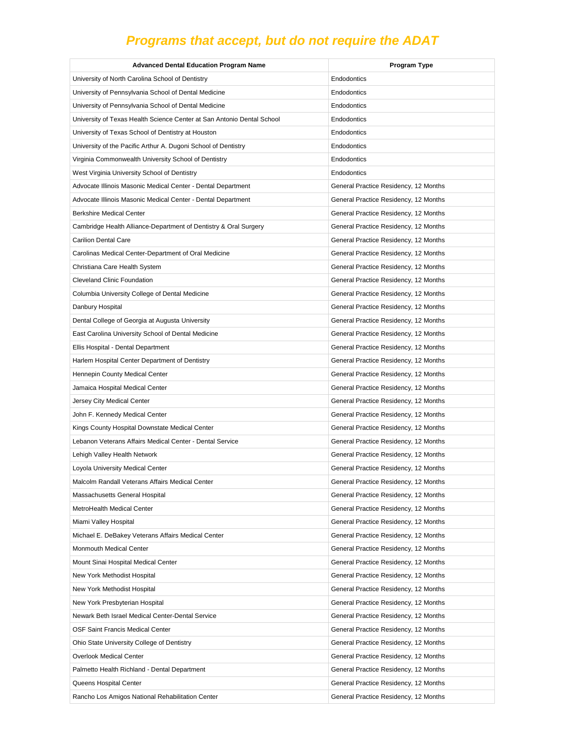| <b>Advanced Dental Education Program Name</b>                          | Program Type                          |
|------------------------------------------------------------------------|---------------------------------------|
| University of North Carolina School of Dentistry                       | Endodontics                           |
| University of Pennsylvania School of Dental Medicine                   | Endodontics                           |
| University of Pennsylvania School of Dental Medicine                   | Endodontics                           |
| University of Texas Health Science Center at San Antonio Dental School | Endodontics                           |
| University of Texas School of Dentistry at Houston                     | Endodontics                           |
| University of the Pacific Arthur A. Dugoni School of Dentistry         | Endodontics                           |
| Virginia Commonwealth University School of Dentistry                   | Endodontics                           |
| West Virginia University School of Dentistry                           | Endodontics                           |
| Advocate Illinois Masonic Medical Center - Dental Department           | General Practice Residency, 12 Months |
| Advocate Illinois Masonic Medical Center - Dental Department           | General Practice Residency, 12 Months |
| <b>Berkshire Medical Center</b>                                        | General Practice Residency, 12 Months |
| Cambridge Health Alliance-Department of Dentistry & Oral Surgery       | General Practice Residency, 12 Months |
| <b>Carilion Dental Care</b>                                            | General Practice Residency, 12 Months |
| Carolinas Medical Center-Department of Oral Medicine                   | General Practice Residency, 12 Months |
| Christiana Care Health System                                          | General Practice Residency, 12 Months |
| <b>Cleveland Clinic Foundation</b>                                     | General Practice Residency, 12 Months |
| Columbia University College of Dental Medicine                         | General Practice Residency, 12 Months |
| Danbury Hospital                                                       | General Practice Residency, 12 Months |
| Dental College of Georgia at Augusta University                        | General Practice Residency, 12 Months |
| East Carolina University School of Dental Medicine                     | General Practice Residency, 12 Months |
| Ellis Hospital - Dental Department                                     | General Practice Residency, 12 Months |
| Harlem Hospital Center Department of Dentistry                         | General Practice Residency, 12 Months |
| Hennepin County Medical Center                                         | General Practice Residency, 12 Months |
| Jamaica Hospital Medical Center                                        | General Practice Residency, 12 Months |
| Jersey City Medical Center                                             | General Practice Residency, 12 Months |
| John F. Kennedy Medical Center                                         | General Practice Residency, 12 Months |
| Kings County Hospital Downstate Medical Center                         | General Practice Residency, 12 Months |
| Lebanon Veterans Affairs Medical Center - Dental Service               | General Practice Residency, 12 Months |
| Lehigh Valley Health Network                                           | General Practice Residency, 12 Months |
| Loyola University Medical Center                                       | General Practice Residency, 12 Months |
| Malcolm Randall Veterans Affairs Medical Center                        | General Practice Residency, 12 Months |
| Massachusetts General Hospital                                         | General Practice Residency, 12 Months |
| MetroHealth Medical Center                                             | General Practice Residency, 12 Months |
| Miami Valley Hospital                                                  | General Practice Residency, 12 Months |
| Michael E. DeBakey Veterans Affairs Medical Center                     | General Practice Residency, 12 Months |
| Monmouth Medical Center                                                | General Practice Residency, 12 Months |
| Mount Sinai Hospital Medical Center                                    | General Practice Residency, 12 Months |
| New York Methodist Hospital                                            | General Practice Residency, 12 Months |
| New York Methodist Hospital                                            | General Practice Residency, 12 Months |
| New York Presbyterian Hospital                                         | General Practice Residency, 12 Months |
| Newark Beth Israel Medical Center-Dental Service                       | General Practice Residency, 12 Months |
| OSF Saint Francis Medical Center                                       | General Practice Residency, 12 Months |
| Ohio State University College of Dentistry                             | General Practice Residency, 12 Months |
| Overlook Medical Center                                                | General Practice Residency, 12 Months |
| Palmetto Health Richland - Dental Department                           | General Practice Residency, 12 Months |
| Queens Hospital Center                                                 | General Practice Residency, 12 Months |
| Rancho Los Amigos National Rehabilitation Center                       | General Practice Residency, 12 Months |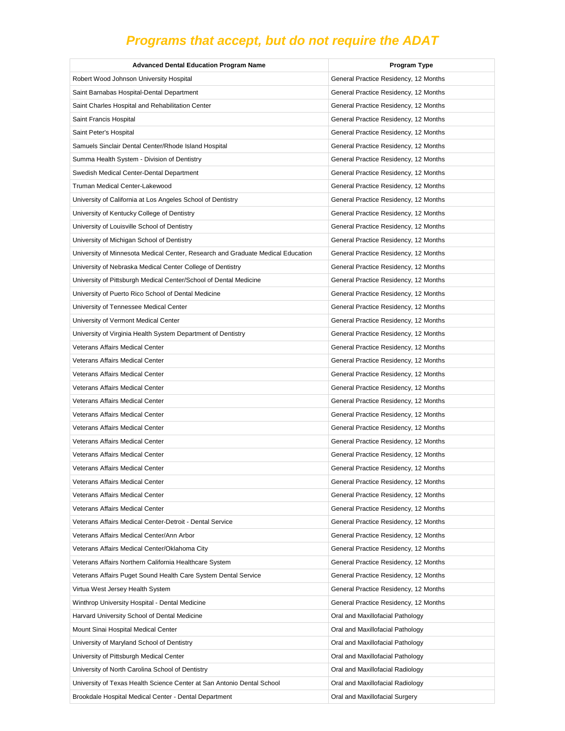| <b>Advanced Dental Education Program Name</b>                                   | Program Type                          |
|---------------------------------------------------------------------------------|---------------------------------------|
| Robert Wood Johnson University Hospital                                         | General Practice Residency, 12 Months |
| Saint Barnabas Hospital-Dental Department                                       | General Practice Residency, 12 Months |
| Saint Charles Hospital and Rehabilitation Center                                | General Practice Residency, 12 Months |
| Saint Francis Hospital                                                          | General Practice Residency, 12 Months |
| Saint Peter's Hospital                                                          | General Practice Residency, 12 Months |
| Samuels Sinclair Dental Center/Rhode Island Hospital                            | General Practice Residency, 12 Months |
| Summa Health System - Division of Dentistry                                     | General Practice Residency, 12 Months |
| Swedish Medical Center-Dental Department                                        | General Practice Residency, 12 Months |
| Truman Medical Center-Lakewood                                                  | General Practice Residency, 12 Months |
| University of California at Los Angeles School of Dentistry                     | General Practice Residency, 12 Months |
| University of Kentucky College of Dentistry                                     | General Practice Residency, 12 Months |
| University of Louisville School of Dentistry                                    | General Practice Residency, 12 Months |
| University of Michigan School of Dentistry                                      | General Practice Residency, 12 Months |
| University of Minnesota Medical Center, Research and Graduate Medical Education | General Practice Residency, 12 Months |
| University of Nebraska Medical Center College of Dentistry                      | General Practice Residency, 12 Months |
| University of Pittsburgh Medical Center/School of Dental Medicine               | General Practice Residency, 12 Months |
| University of Puerto Rico School of Dental Medicine                             | General Practice Residency, 12 Months |
| University of Tennessee Medical Center                                          | General Practice Residency, 12 Months |
| University of Vermont Medical Center                                            | General Practice Residency, 12 Months |
| University of Virginia Health System Department of Dentistry                    | General Practice Residency, 12 Months |
| Veterans Affairs Medical Center                                                 | General Practice Residency, 12 Months |
| Veterans Affairs Medical Center                                                 | General Practice Residency, 12 Months |
| Veterans Affairs Medical Center                                                 | General Practice Residency, 12 Months |
| Veterans Affairs Medical Center                                                 | General Practice Residency, 12 Months |
| <b>Veterans Affairs Medical Center</b>                                          | General Practice Residency, 12 Months |
| Veterans Affairs Medical Center                                                 | General Practice Residency, 12 Months |
| Veterans Affairs Medical Center                                                 | General Practice Residency, 12 Months |
| Veterans Affairs Medical Center                                                 | General Practice Residency, 12 Months |
| Veterans Affairs Medical Center                                                 | General Practice Residency, 12 Months |
| Veterans Affairs Medical Center                                                 | General Practice Residency, 12 Months |
| Veterans Affairs Medical Center                                                 | General Practice Residency, 12 Months |
| <b>Veterans Affairs Medical Center</b>                                          | General Practice Residency, 12 Months |
| Veterans Affairs Medical Center                                                 | General Practice Residency, 12 Months |
| Veterans Affairs Medical Center-Detroit - Dental Service                        | General Practice Residency, 12 Months |
| Veterans Affairs Medical Center/Ann Arbor                                       | General Practice Residency, 12 Months |
| Veterans Affairs Medical Center/Oklahoma City                                   | General Practice Residency, 12 Months |
| Veterans Affairs Northern California Healthcare System                          | General Practice Residency, 12 Months |
| Veterans Affairs Puget Sound Health Care System Dental Service                  | General Practice Residency, 12 Months |
| Virtua West Jersey Health System                                                | General Practice Residency, 12 Months |
| Winthrop University Hospital - Dental Medicine                                  | General Practice Residency, 12 Months |
| Harvard University School of Dental Medicine                                    | Oral and Maxillofacial Pathology      |
| Mount Sinai Hospital Medical Center                                             | Oral and Maxillofacial Pathology      |
| University of Maryland School of Dentistry                                      | Oral and Maxillofacial Pathology      |
| University of Pittsburgh Medical Center                                         | Oral and Maxillofacial Pathology      |
| University of North Carolina School of Dentistry                                | Oral and Maxillofacial Radiology      |
| University of Texas Health Science Center at San Antonio Dental School          | Oral and Maxillofacial Radiology      |
| Brookdale Hospital Medical Center - Dental Department                           | Oral and Maxillofacial Surgery        |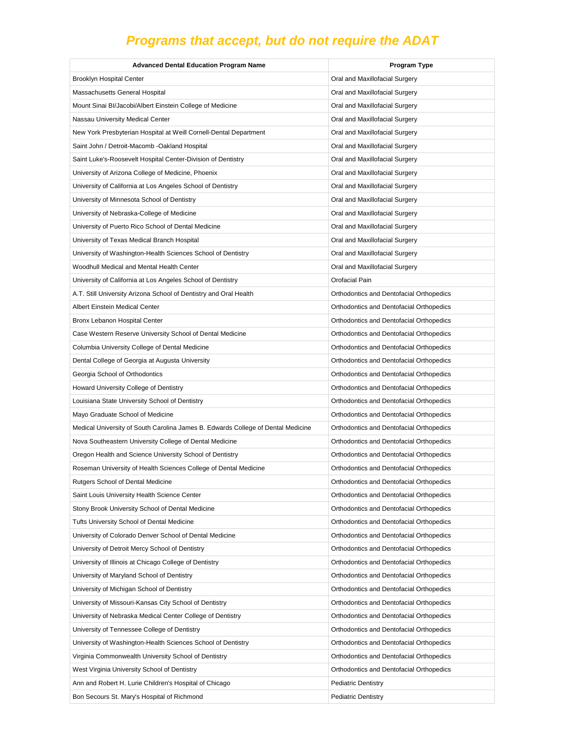| <b>Advanced Dental Education Program Name</b>                                    | <b>Program Type</b>                      |
|----------------------------------------------------------------------------------|------------------------------------------|
| <b>Brooklyn Hospital Center</b>                                                  | Oral and Maxillofacial Surgery           |
| Massachusetts General Hospital                                                   | Oral and Maxillofacial Surgery           |
| Mount Sinai BI/Jacobi/Albert Einstein College of Medicine                        | Oral and Maxillofacial Surgery           |
| Nassau University Medical Center                                                 | Oral and Maxillofacial Surgery           |
| New York Presbyterian Hospital at Weill Cornell-Dental Department                | Oral and Maxillofacial Surgery           |
| Saint John / Detroit-Macomb -Oakland Hospital                                    | Oral and Maxillofacial Surgery           |
| Saint Luke's-Roosevelt Hospital Center-Division of Dentistry                     | Oral and Maxillofacial Surgery           |
| University of Arizona College of Medicine, Phoenix                               | Oral and Maxillofacial Surgery           |
| University of California at Los Angeles School of Dentistry                      | Oral and Maxillofacial Surgery           |
| University of Minnesota School of Dentistry                                      | Oral and Maxillofacial Surgery           |
| University of Nebraska-College of Medicine                                       | Oral and Maxillofacial Surgery           |
| University of Puerto Rico School of Dental Medicine                              | Oral and Maxillofacial Surgery           |
| University of Texas Medical Branch Hospital                                      | Oral and Maxillofacial Surgery           |
| University of Washington-Health Sciences School of Dentistry                     | Oral and Maxillofacial Surgery           |
| Woodhull Medical and Mental Health Center                                        | Oral and Maxillofacial Surgery           |
| University of California at Los Angeles School of Dentistry                      | Orofacial Pain                           |
| A.T. Still University Arizona School of Dentistry and Oral Health                | Orthodontics and Dentofacial Orthopedics |
| Albert Einstein Medical Center                                                   | Orthodontics and Dentofacial Orthopedics |
| Bronx Lebanon Hospital Center                                                    | Orthodontics and Dentofacial Orthopedics |
| Case Western Reserve University School of Dental Medicine                        | Orthodontics and Dentofacial Orthopedics |
| Columbia University College of Dental Medicine                                   | Orthodontics and Dentofacial Orthopedics |
| Dental College of Georgia at Augusta University                                  | Orthodontics and Dentofacial Orthopedics |
| Georgia School of Orthodontics                                                   | Orthodontics and Dentofacial Orthopedics |
| Howard University College of Dentistry                                           | Orthodontics and Dentofacial Orthopedics |
| Louisiana State University School of Dentistry                                   | Orthodontics and Dentofacial Orthopedics |
| Mayo Graduate School of Medicine                                                 | Orthodontics and Dentofacial Orthopedics |
| Medical University of South Carolina James B. Edwards College of Dental Medicine | Orthodontics and Dentofacial Orthopedics |
| Nova Southeastern University College of Dental Medicine                          | Orthodontics and Dentofacial Orthopedics |
| Oregon Health and Science University School of Dentistry                         | Orthodontics and Dentofacial Orthopedics |
| Roseman University of Health Sciences College of Dental Medicine                 | Orthodontics and Dentofacial Orthopedics |
| Rutgers School of Dental Medicine                                                | Orthodontics and Dentofacial Orthopedics |
| Saint Louis University Health Science Center                                     | Orthodontics and Dentofacial Orthopedics |
| Stony Brook University School of Dental Medicine                                 | Orthodontics and Dentofacial Orthopedics |
| Tufts University School of Dental Medicine                                       | Orthodontics and Dentofacial Orthopedics |
| University of Colorado Denver School of Dental Medicine                          | Orthodontics and Dentofacial Orthopedics |
| University of Detroit Mercy School of Dentistry                                  | Orthodontics and Dentofacial Orthopedics |
| University of Illinois at Chicago College of Dentistry                           | Orthodontics and Dentofacial Orthopedics |
| University of Maryland School of Dentistry                                       | Orthodontics and Dentofacial Orthopedics |
| University of Michigan School of Dentistry                                       | Orthodontics and Dentofacial Orthopedics |
| University of Missouri-Kansas City School of Dentistry                           | Orthodontics and Dentofacial Orthopedics |
| University of Nebraska Medical Center College of Dentistry                       | Orthodontics and Dentofacial Orthopedics |
| University of Tennessee College of Dentistry                                     | Orthodontics and Dentofacial Orthopedics |
| University of Washington-Health Sciences School of Dentistry                     | Orthodontics and Dentofacial Orthopedics |
| Virginia Commonwealth University School of Dentistry                             | Orthodontics and Dentofacial Orthopedics |
| West Virginia University School of Dentistry                                     | Orthodontics and Dentofacial Orthopedics |
| Ann and Robert H. Lurie Children's Hospital of Chicago                           | <b>Pediatric Dentistry</b>               |
| Bon Secours St. Mary's Hospital of Richmond                                      | <b>Pediatric Dentistry</b>               |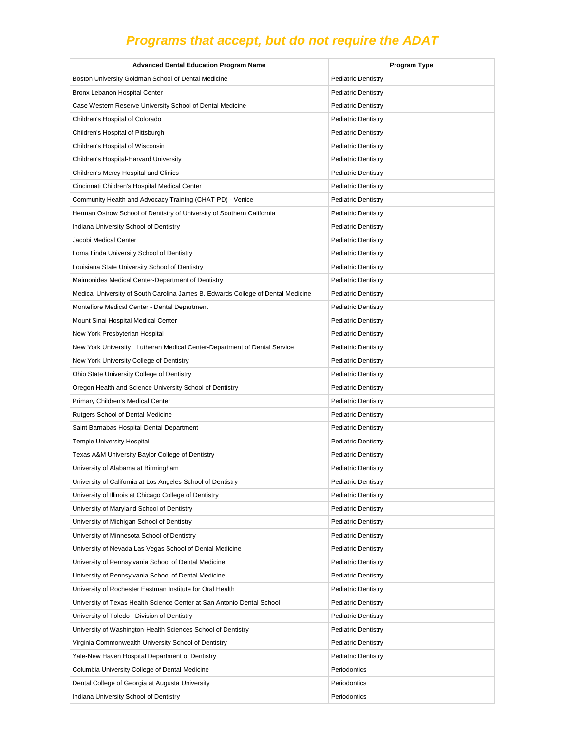| <b>Advanced Dental Education Program Name</b>                                    | <b>Program Type</b>        |
|----------------------------------------------------------------------------------|----------------------------|
| Boston University Goldman School of Dental Medicine                              | <b>Pediatric Dentistry</b> |
| Bronx Lebanon Hospital Center                                                    | <b>Pediatric Dentistry</b> |
| Case Western Reserve University School of Dental Medicine                        | <b>Pediatric Dentistry</b> |
| Children's Hospital of Colorado                                                  | <b>Pediatric Dentistry</b> |
| Children's Hospital of Pittsburgh                                                | <b>Pediatric Dentistry</b> |
| Children's Hospital of Wisconsin                                                 | <b>Pediatric Dentistry</b> |
| Children's Hospital-Harvard University                                           | <b>Pediatric Dentistry</b> |
| Children's Mercy Hospital and Clinics                                            | <b>Pediatric Dentistry</b> |
| Cincinnati Children's Hospital Medical Center                                    | <b>Pediatric Dentistry</b> |
| Community Health and Advocacy Training (CHAT-PD) - Venice                        | <b>Pediatric Dentistry</b> |
| Herman Ostrow School of Dentistry of University of Southern California           | <b>Pediatric Dentistry</b> |
| Indiana University School of Dentistry                                           | <b>Pediatric Dentistry</b> |
| Jacobi Medical Center                                                            | <b>Pediatric Dentistry</b> |
| Loma Linda University School of Dentistry                                        | <b>Pediatric Dentistry</b> |
| Louisiana State University School of Dentistry                                   | <b>Pediatric Dentistry</b> |
| Maimonides Medical Center-Department of Dentistry                                | <b>Pediatric Dentistry</b> |
| Medical University of South Carolina James B. Edwards College of Dental Medicine | <b>Pediatric Dentistry</b> |
| Montefiore Medical Center - Dental Department                                    | <b>Pediatric Dentistry</b> |
| Mount Sinai Hospital Medical Center                                              | <b>Pediatric Dentistry</b> |
| New York Presbyterian Hospital                                                   | <b>Pediatric Dentistry</b> |
| New York University Lutheran Medical Center-Department of Dental Service         | <b>Pediatric Dentistry</b> |
| New York University College of Dentistry                                         | <b>Pediatric Dentistry</b> |
| Ohio State University College of Dentistry                                       | <b>Pediatric Dentistry</b> |
| Oregon Health and Science University School of Dentistry                         | <b>Pediatric Dentistry</b> |
| Primary Children's Medical Center                                                | <b>Pediatric Dentistry</b> |
| Rutgers School of Dental Medicine                                                | <b>Pediatric Dentistry</b> |
| Saint Barnabas Hospital-Dental Department                                        | <b>Pediatric Dentistry</b> |
| <b>Temple University Hospital</b>                                                | <b>Pediatric Dentistry</b> |
| Texas A&M University Baylor College of Dentistry                                 | <b>Pediatric Dentistry</b> |
| University of Alabama at Birmingham                                              | <b>Pediatric Dentistry</b> |
| University of California at Los Angeles School of Dentistry                      | <b>Pediatric Dentistry</b> |
| University of Illinois at Chicago College of Dentistry                           | <b>Pediatric Dentistry</b> |
| University of Maryland School of Dentistry                                       | <b>Pediatric Dentistry</b> |
| University of Michigan School of Dentistry                                       | <b>Pediatric Dentistry</b> |
| University of Minnesota School of Dentistry                                      | <b>Pediatric Dentistry</b> |
| University of Nevada Las Vegas School of Dental Medicine                         | <b>Pediatric Dentistry</b> |
| University of Pennsylvania School of Dental Medicine                             | <b>Pediatric Dentistry</b> |
| University of Pennsylvania School of Dental Medicine                             | <b>Pediatric Dentistry</b> |
| University of Rochester Eastman Institute for Oral Health                        | <b>Pediatric Dentistry</b> |
| University of Texas Health Science Center at San Antonio Dental School           | <b>Pediatric Dentistry</b> |
| University of Toledo - Division of Dentistry                                     | <b>Pediatric Dentistry</b> |
| University of Washington-Health Sciences School of Dentistry                     | <b>Pediatric Dentistry</b> |
| Virginia Commonwealth University School of Dentistry                             | <b>Pediatric Dentistry</b> |
| Yale-New Haven Hospital Department of Dentistry                                  | <b>Pediatric Dentistry</b> |
| Columbia University College of Dental Medicine                                   | Periodontics               |
| Dental College of Georgia at Augusta University                                  | Periodontics               |
| Indiana University School of Dentistry                                           | Periodontics               |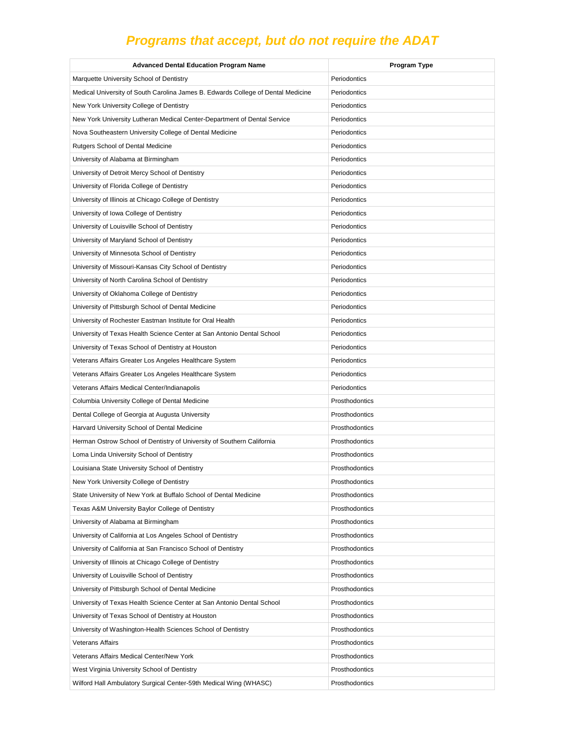| <b>Advanced Dental Education Program Name</b>                                    | Program Type   |
|----------------------------------------------------------------------------------|----------------|
| Marquette University School of Dentistry                                         | Periodontics   |
| Medical University of South Carolina James B. Edwards College of Dental Medicine | Periodontics   |
| New York University College of Dentistry                                         | Periodontics   |
| New York University Lutheran Medical Center-Department of Dental Service         | Periodontics   |
| Nova Southeastern University College of Dental Medicine                          | Periodontics   |
| Rutgers School of Dental Medicine                                                | Periodontics   |
| University of Alabama at Birmingham                                              | Periodontics   |
| University of Detroit Mercy School of Dentistry                                  | Periodontics   |
| University of Florida College of Dentistry                                       | Periodontics   |
| University of Illinois at Chicago College of Dentistry                           | Periodontics   |
| University of Iowa College of Dentistry                                          | Periodontics   |
| University of Louisville School of Dentistry                                     | Periodontics   |
| University of Maryland School of Dentistry                                       | Periodontics   |
| University of Minnesota School of Dentistry                                      | Periodontics   |
| University of Missouri-Kansas City School of Dentistry                           | Periodontics   |
| University of North Carolina School of Dentistry                                 | Periodontics   |
| University of Oklahoma College of Dentistry                                      | Periodontics   |
| University of Pittsburgh School of Dental Medicine                               | Periodontics   |
| University of Rochester Eastman Institute for Oral Health                        | Periodontics   |
| University of Texas Health Science Center at San Antonio Dental School           | Periodontics   |
| University of Texas School of Dentistry at Houston                               | Periodontics   |
| Veterans Affairs Greater Los Angeles Healthcare System                           | Periodontics   |
| Veterans Affairs Greater Los Angeles Healthcare System                           | Periodontics   |
| Veterans Affairs Medical Center/Indianapolis                                     | Periodontics   |
| Columbia University College of Dental Medicine                                   | Prosthodontics |
| Dental College of Georgia at Augusta University                                  | Prosthodontics |
| Harvard University School of Dental Medicine                                     | Prosthodontics |
| Herman Ostrow School of Dentistry of University of Southern California           | Prosthodontics |
| Loma Linda University School of Dentistry                                        | Prosthodontics |
| Louisiana State University School of Dentistry                                   | Prosthodontics |
| New York University College of Dentistry                                         | Prosthodontics |
| State University of New York at Buffalo School of Dental Medicine                | Prosthodontics |
| Texas A&M University Baylor College of Dentistry                                 | Prosthodontics |
| University of Alabama at Birmingham                                              | Prosthodontics |
| University of California at Los Angeles School of Dentistry                      | Prosthodontics |
| University of California at San Francisco School of Dentistry                    | Prosthodontics |
| University of Illinois at Chicago College of Dentistry                           | Prosthodontics |
| University of Louisville School of Dentistry                                     | Prosthodontics |
| University of Pittsburgh School of Dental Medicine                               | Prosthodontics |
| University of Texas Health Science Center at San Antonio Dental School           | Prosthodontics |
| University of Texas School of Dentistry at Houston                               | Prosthodontics |
| University of Washington-Health Sciences School of Dentistry                     | Prosthodontics |
| <b>Veterans Affairs</b>                                                          | Prosthodontics |
| Veterans Affairs Medical Center/New York                                         | Prosthodontics |
| West Virginia University School of Dentistry                                     | Prosthodontics |
| Wilford Hall Ambulatory Surgical Center-59th Medical Wing (WHASC)                | Prosthodontics |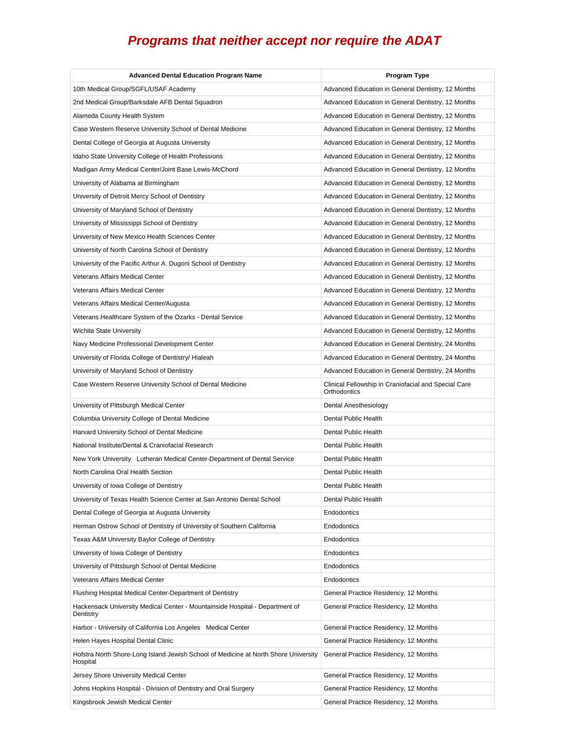| <b>Advanced Dental Education Program Name</b>                                                   | <b>Program Type</b>                                                  |
|-------------------------------------------------------------------------------------------------|----------------------------------------------------------------------|
| 10th Medical Group/SGFL/USAF Academy                                                            | Advanced Education in General Dentistry, 12 Months                   |
| 2nd Medical Group/Barksdale AFB Dental Squadron                                                 | Advanced Education in General Dentistry, 12 Months                   |
| Alameda County Health System                                                                    | Advanced Education in General Dentistry, 12 Months                   |
| Case Western Reserve University School of Dental Medicine                                       | Advanced Education in General Dentistry, 12 Months                   |
| Dental College of Georgia at Augusta University                                                 | Advanced Education in General Dentistry, 12 Months                   |
| Idaho State University College of Health Professions                                            | Advanced Education in General Dentistry, 12 Months                   |
| Madigan Army Medical Center/Joint Base Lewis-McChord                                            | Advanced Education in General Dentistry, 12 Months                   |
| University of Alabama at Birmingham                                                             | Advanced Education in General Dentistry, 12 Months                   |
| University of Detroit Mercy School of Dentistry                                                 | Advanced Education in General Dentistry, 12 Months                   |
| University of Maryland School of Dentistry                                                      | Advanced Education in General Dentistry, 12 Months                   |
| University of Mississippi School of Dentistry                                                   | Advanced Education in General Dentistry, 12 Months                   |
| University of New Mexico Health Sciences Center                                                 | Advanced Education in General Dentistry, 12 Months                   |
| University of North Carolina School of Dentistry                                                | Advanced Education in General Dentistry, 12 Months                   |
| University of the Pacific Arthur A. Dugoni School of Dentistry                                  | Advanced Education in General Dentistry, 12 Months                   |
| Veterans Affairs Medical Center                                                                 | Advanced Education in General Dentistry, 12 Months                   |
| Veterans Affairs Medical Center                                                                 | Advanced Education in General Dentistry, 12 Months                   |
| Veterans Affairs Medical Center/Augusta                                                         | Advanced Education in General Dentistry, 12 Months                   |
| Veterans Healthcare System of the Ozarks - Dental Service                                       | Advanced Education in General Dentistry, 12 Months                   |
| Wichita State University                                                                        | Advanced Education in General Dentistry, 12 Months                   |
| Navy Medicine Professional Development Center                                                   | Advanced Education in General Dentistry, 24 Months                   |
| University of Florida College of Dentistry/ Hialeah                                             | Advanced Education in General Dentistry, 24 Months                   |
| University of Maryland School of Dentistry                                                      | Advanced Education in General Dentistry, 24 Months                   |
| Case Western Reserve University School of Dental Medicine                                       | Clinical Fellowship in Craniofacial and Special Care<br>Orthodontics |
| University of Pittsburgh Medical Center                                                         | Dental Anesthesiology                                                |
| Columbia University College of Dental Medicine                                                  | Dental Public Health                                                 |
| Harvard University School of Dental Medicine                                                    | Dental Public Health                                                 |
| National Institute/Dental & Craniofacial Research                                               | Dental Public Health                                                 |
| New York University Lutheran Medical Center-Department of Dental Service                        | Dental Public Health                                                 |
| North Carolina Oral Health Section                                                              | Dental Public Health                                                 |
| University of Iowa College of Dentistry                                                         | Dental Public Health                                                 |
| University of Texas Health Science Center at San Antonio Dental School                          | Dental Public Health                                                 |
| Dental College of Georgia at Augusta University                                                 | Endodontics                                                          |
| Herman Ostrow School of Dentistry of University of Southern California                          | Endodontics                                                          |
| Texas A&M University Baylor College of Dentistry                                                | Endodontics                                                          |
| University of Iowa College of Dentistry                                                         | Endodontics                                                          |
| University of Pittsburgh School of Dental Medicine                                              | Endodontics                                                          |
| Veterans Affairs Medical Center                                                                 | Endodontics                                                          |
| Flushing Hospital Medical Center-Department of Dentistry                                        | General Practice Residency, 12 Months                                |
| Hackensack University Medical Center - Mountainside Hospital - Department of<br>Dentistry       | General Practice Residency, 12 Months                                |
| Harbor - University of California Los Angeles Medical Center                                    | General Practice Residency, 12 Months                                |
| Helen Hayes Hospital Dental Clinic                                                              | General Practice Residency, 12 Months                                |
| Hofstra North Shore-Long Island Jewish School of Medicine at North Shore University<br>Hospital | General Practice Residency, 12 Months                                |
| Jersey Shore University Medical Center                                                          | General Practice Residency, 12 Months                                |
| Johns Hopkins Hospital - Division of Dentistry and Oral Surgery                                 | General Practice Residency, 12 Months                                |
| Kingsbrook Jewish Medical Center                                                                | General Practice Residency, 12 Months                                |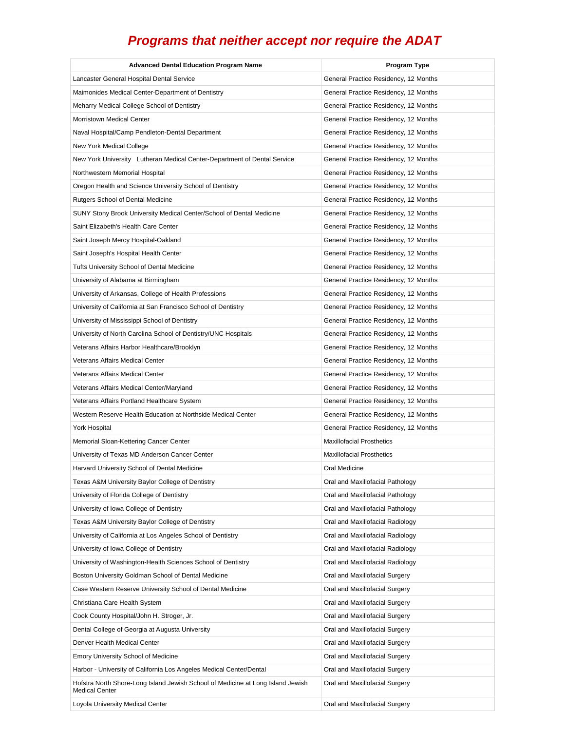| <b>Advanced Dental Education Program Name</b>                                                            | <b>Program Type</b>                   |
|----------------------------------------------------------------------------------------------------------|---------------------------------------|
| Lancaster General Hospital Dental Service                                                                | General Practice Residency, 12 Months |
| Maimonides Medical Center-Department of Dentistry                                                        | General Practice Residency, 12 Months |
| Meharry Medical College School of Dentistry                                                              | General Practice Residency, 12 Months |
| <b>Morristown Medical Center</b>                                                                         | General Practice Residency, 12 Months |
| Naval Hospital/Camp Pendleton-Dental Department                                                          | General Practice Residency, 12 Months |
| New York Medical College                                                                                 | General Practice Residency, 12 Months |
| New York University Lutheran Medical Center-Department of Dental Service                                 | General Practice Residency, 12 Months |
| Northwestern Memorial Hospital                                                                           | General Practice Residency, 12 Months |
| Oregon Health and Science University School of Dentistry                                                 | General Practice Residency, 12 Months |
| Rutgers School of Dental Medicine                                                                        | General Practice Residency, 12 Months |
| SUNY Stony Brook University Medical Center/School of Dental Medicine                                     | General Practice Residency, 12 Months |
| Saint Elizabeth's Health Care Center                                                                     | General Practice Residency, 12 Months |
| Saint Joseph Mercy Hospital-Oakland                                                                      | General Practice Residency, 12 Months |
| Saint Joseph's Hospital Health Center                                                                    | General Practice Residency, 12 Months |
| Tufts University School of Dental Medicine                                                               | General Practice Residency, 12 Months |
| University of Alabama at Birmingham                                                                      | General Practice Residency, 12 Months |
| University of Arkansas, College of Health Professions                                                    | General Practice Residency, 12 Months |
| University of California at San Francisco School of Dentistry                                            | General Practice Residency, 12 Months |
| University of Mississippi School of Dentistry                                                            | General Practice Residency, 12 Months |
| University of North Carolina School of Dentistry/UNC Hospitals                                           | General Practice Residency, 12 Months |
| Veterans Affairs Harbor Healthcare/Brooklyn                                                              | General Practice Residency, 12 Months |
| Veterans Affairs Medical Center                                                                          | General Practice Residency, 12 Months |
| Veterans Affairs Medical Center                                                                          | General Practice Residency, 12 Months |
| Veterans Affairs Medical Center/Maryland                                                                 | General Practice Residency, 12 Months |
| Veterans Affairs Portland Healthcare System                                                              | General Practice Residency, 12 Months |
| Western Reserve Health Education at Northside Medical Center                                             | General Practice Residency, 12 Months |
| York Hospital                                                                                            | General Practice Residency, 12 Months |
| Memorial Sloan-Kettering Cancer Center                                                                   | <b>Maxillofacial Prosthetics</b>      |
| University of Texas MD Anderson Cancer Center                                                            | <b>Maxillofacial Prosthetics</b>      |
| Harvard University School of Dental Medicine                                                             | Oral Medicine                         |
| Texas A&M University Baylor College of Dentistry                                                         | Oral and Maxillofacial Pathology      |
| University of Florida College of Dentistry                                                               | Oral and Maxillofacial Pathology      |
| University of Iowa College of Dentistry                                                                  | Oral and Maxillofacial Pathology      |
| Texas A&M University Baylor College of Dentistry                                                         | Oral and Maxillofacial Radiology      |
| University of California at Los Angeles School of Dentistry                                              | Oral and Maxillofacial Radiology      |
| University of Iowa College of Dentistry                                                                  | Oral and Maxillofacial Radiology      |
| University of Washington-Health Sciences School of Dentistry                                             | Oral and Maxillofacial Radiology      |
| Boston University Goldman School of Dental Medicine                                                      | Oral and Maxillofacial Surgery        |
| Case Western Reserve University School of Dental Medicine                                                | Oral and Maxillofacial Surgery        |
| Christiana Care Health System                                                                            | Oral and Maxillofacial Surgery        |
| Cook County Hospital/John H. Stroger, Jr.                                                                | Oral and Maxillofacial Surgery        |
| Dental College of Georgia at Augusta University                                                          | Oral and Maxillofacial Surgery        |
| Denver Health Medical Center                                                                             | Oral and Maxillofacial Surgery        |
| <b>Emory University School of Medicine</b>                                                               | Oral and Maxillofacial Surgery        |
| Harbor - University of California Los Angeles Medical Center/Dental                                      | Oral and Maxillofacial Surgery        |
| Hofstra North Shore-Long Island Jewish School of Medicine at Long Island Jewish<br><b>Medical Center</b> | Oral and Maxillofacial Surgery        |
| Loyola University Medical Center                                                                         | Oral and Maxillofacial Surgery        |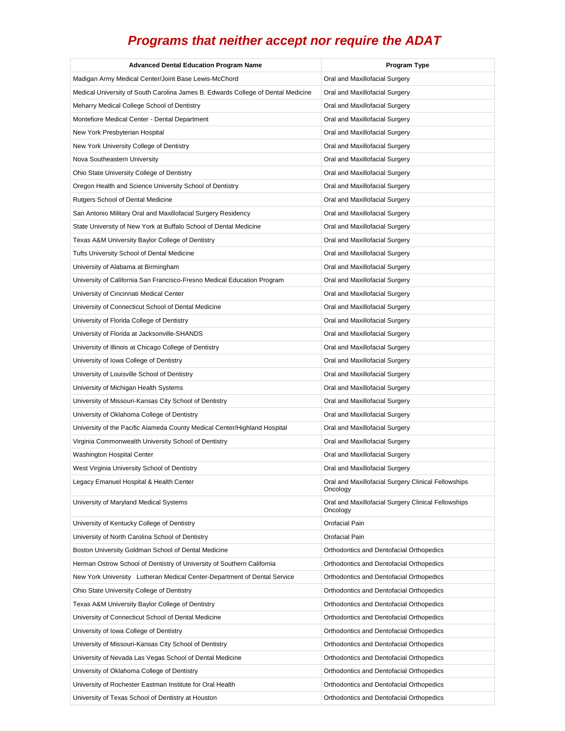| <b>Advanced Dental Education Program Name</b>                                    | Program Type                                                    |
|----------------------------------------------------------------------------------|-----------------------------------------------------------------|
| Madigan Army Medical Center/Joint Base Lewis-McChord                             | Oral and Maxillofacial Surgery                                  |
| Medical University of South Carolina James B. Edwards College of Dental Medicine | Oral and Maxillofacial Surgery                                  |
| Meharry Medical College School of Dentistry                                      | Oral and Maxillofacial Surgery                                  |
| Montefiore Medical Center - Dental Department                                    | Oral and Maxillofacial Surgery                                  |
| New York Presbyterian Hospital                                                   | Oral and Maxillofacial Surgery                                  |
| New York University College of Dentistry                                         | Oral and Maxillofacial Surgery                                  |
| Nova Southeastern University                                                     | Oral and Maxillofacial Surgery                                  |
| Ohio State University College of Dentistry                                       | Oral and Maxillofacial Surgery                                  |
| Oregon Health and Science University School of Dentistry                         | Oral and Maxillofacial Surgery                                  |
| Rutgers School of Dental Medicine                                                | Oral and Maxillofacial Surgery                                  |
| San Antonio Military Oral and Maxillofacial Surgery Residency                    | Oral and Maxillofacial Surgery                                  |
| State University of New York at Buffalo School of Dental Medicine                | Oral and Maxillofacial Surgery                                  |
| Texas A&M University Baylor College of Dentistry                                 | Oral and Maxillofacial Surgery                                  |
| Tufts University School of Dental Medicine                                       | Oral and Maxillofacial Surgery                                  |
| University of Alabama at Birmingham                                              | Oral and Maxillofacial Surgery                                  |
| University of California San Francisco-Fresno Medical Education Program          | Oral and Maxillofacial Surgery                                  |
| University of Cincinnati Medical Center                                          | Oral and Maxillofacial Surgery                                  |
| University of Connecticut School of Dental Medicine                              | Oral and Maxillofacial Surgery                                  |
| University of Florida College of Dentistry                                       | Oral and Maxillofacial Surgery                                  |
| University of Florida at Jacksonville-SHANDS                                     | Oral and Maxillofacial Surgery                                  |
| University of Illinois at Chicago College of Dentistry                           | Oral and Maxillofacial Surgery                                  |
| University of Iowa College of Dentistry                                          | Oral and Maxillofacial Surgery                                  |
| University of Louisville School of Dentistry                                     | Oral and Maxillofacial Surgery                                  |
| University of Michigan Health Systems                                            | Oral and Maxillofacial Surgery                                  |
| University of Missouri-Kansas City School of Dentistry                           | Oral and Maxillofacial Surgery                                  |
| University of Oklahoma College of Dentistry                                      | Oral and Maxillofacial Surgery                                  |
| University of the Pacific Alameda County Medical Center/Highland Hospital        | Oral and Maxillofacial Surgery                                  |
| Virginia Commonwealth University School of Dentistry                             | Oral and Maxillofacial Surgery                                  |
| Washington Hospital Center                                                       | Oral and Maxillofacial Surgery                                  |
| West Virginia University School of Dentistry                                     | Oral and Maxillofacial Surgery                                  |
| Legacy Emanuel Hospital & Health Center                                          | Oral and Maxillofacial Surgery Clinical Fellowships<br>Oncology |
| University of Maryland Medical Systems                                           | Oral and Maxillofacial Surgery Clinical Fellowships<br>Oncology |
| University of Kentucky College of Dentistry                                      | Orofacial Pain                                                  |
| University of North Carolina School of Dentistry                                 | Orofacial Pain                                                  |
| Boston University Goldman School of Dental Medicine                              | Orthodontics and Dentofacial Orthopedics                        |
| Herman Ostrow School of Dentistry of University of Southern California           | Orthodontics and Dentofacial Orthopedics                        |
| New York University Lutheran Medical Center-Department of Dental Service         | Orthodontics and Dentofacial Orthopedics                        |
| Ohio State University College of Dentistry                                       | Orthodontics and Dentofacial Orthopedics                        |
| Texas A&M University Baylor College of Dentistry                                 | Orthodontics and Dentofacial Orthopedics                        |
| University of Connecticut School of Dental Medicine                              | Orthodontics and Dentofacial Orthopedics                        |
| University of Iowa College of Dentistry                                          | Orthodontics and Dentofacial Orthopedics                        |
| University of Missouri-Kansas City School of Dentistry                           | Orthodontics and Dentofacial Orthopedics                        |
| University of Nevada Las Vegas School of Dental Medicine                         | Orthodontics and Dentofacial Orthopedics                        |
| University of Oklahoma College of Dentistry                                      | Orthodontics and Dentofacial Orthopedics                        |
| University of Rochester Eastman Institute for Oral Health                        | Orthodontics and Dentofacial Orthopedics                        |
| University of Texas School of Dentistry at Houston                               | Orthodontics and Dentofacial Orthopedics                        |